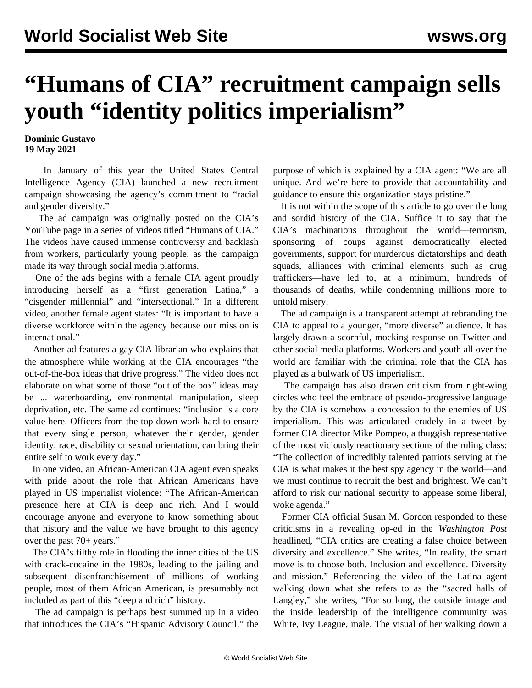## **"Humans of CIA" recruitment campaign sells youth "identity politics imperialism"**

## **Dominic Gustavo 19 May 2021**

 In January of this year the United States Central Intelligence Agency (CIA) launched a new recruitment campaign showcasing the agency's commitment to "racial and gender diversity."

 The ad campaign was originally posted on the CIA's YouTube page in a series of videos titled "Humans of CIA." The videos have caused immense controversy and backlash from workers, particularly young people, as the campaign made its way through social media platforms.

 One of the ads begins with a female CIA agent proudly introducing herself as a "first generation Latina," a "cisgender millennial" and "intersectional." In a different video, another female agent states: "It is important to have a diverse workforce within the agency because our mission is international."

 Another ad features a gay CIA librarian who explains that the atmosphere while working at the CIA encourages "the out-of-the-box ideas that drive progress." The video does not elaborate on what some of those "out of the box" ideas may be ... waterboarding, environmental manipulation, sleep deprivation, etc. The same ad continues: "inclusion is a core value here. Officers from the top down work hard to ensure that every single person, whatever their gender, gender identity, race, disability or sexual orientation, can bring their entire self to work every day."

 In one video, an African-American CIA agent even speaks with pride about the role that African Americans have played in US imperialist violence: "The African-American presence here at CIA is deep and rich. And I would encourage anyone and everyone to know something about that history and the value we have brought to this agency over the past 70+ years."

 The CIA's filthy role in flooding the inner cities of the US with crack-cocaine in the 1980s, leading to the jailing and subsequent disenfranchisement of millions of working people, most of them African American, is presumably not included as part of this "deep and rich" history.

 The ad campaign is perhaps best summed up in a video that introduces the CIA's "Hispanic Advisory Council," the purpose of which is explained by a CIA agent: "We are all unique. And we're here to provide that accountability and guidance to ensure this organization stays pristine."

 It is not within the scope of this article to go over the long and sordid history of the CIA. Suffice it to say that the CIA's machinations throughout the world—terrorism, sponsoring of coups against democratically elected governments, support for murderous dictatorships and death squads, alliances with criminal elements such as drug traffickers—have led to, at a minimum, hundreds of thousands of deaths, while condemning millions more to untold misery.

 The ad campaign is a transparent attempt at rebranding the CIA to appeal to a younger, "more diverse" audience. It has largely drawn a scornful, mocking response on Twitter and other social media platforms. Workers and youth all over the world are familiar with the criminal role that the CIA has played as a bulwark of US imperialism.

 The campaign has also drawn criticism from right-wing circles who feel the embrace of pseudo-progressive language by the CIA is somehow a concession to the enemies of US imperialism. This was articulated crudely in a tweet by former CIA director Mike Pompeo, a thuggish representative of the most viciously reactionary sections of the ruling class: "The collection of incredibly talented patriots serving at the CIA is what makes it the best spy agency in the world—and we must continue to recruit the best and brightest. We can't afford to risk our national security to appease some liberal, woke agenda."

 Former CIA official Susan M. Gordon responded to these criticisms in a revealing op-ed in the *Washington Post* headlined, "CIA critics are creating a false choice between diversity and excellence." She writes, "In reality, the smart move is to choose both. Inclusion and excellence. Diversity and mission." Referencing the video of the Latina agent walking down what she refers to as the "sacred halls of Langley," she writes, "For so long, the outside image and the inside leadership of the intelligence community was White, Ivy League, male. The visual of her walking down a